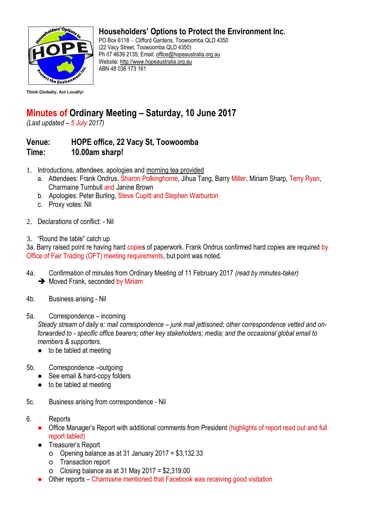

**Think Globally. Act Locally!**

## **Householders' Options to Protect the Environment Inc.**

PO Box 6118 – Clifford Gardens, Toowoomba QLD 4350 (22 Vacy Street, Toowoomba QLD 4350) Ph 07 4639 2135; Email[: office@hopeaustralia.org.au](mailto:office@hopeaustralia.org.au)  Website: [http://www.hopeaustralia.org.au](http://www.hopeaustralia.org.au/) ABN 48 036 173 161

## **Minutes of Ordinary Meeting – Saturday, 10 June 2017**

*(Last updated – 5 July 2017)*

## **Venue: HOPE office, 22 Vacy St, Toowoomba Time: 10.00am sharp!**

- 1. Introductions, attendees, apologies and morning tea provided
	- a. Attendees: Frank Ondrus, Sharon Polkinghorne, Jihua Tang, Barry Miller, Miriam Sharp, Terry Ryan, Charmaine Turnbull and Janine Brown
	- b. Apologies: Peter Burling, Steve Cupitt and Stephen Warburton
	- c. Proxy votes: Nil
- 2. Declarations of conflict: Nil
- 3. "Round the table" catch up

3a. Barry raised point re having hard copies of paperwork. Frank Ondrus confirmed hard copies are required by Office of Fair Trading (OFT) meeting requirements, but point was noted.

- 4a. Confirmation of minutes from Ordinary Meeting of 11 February 2017 *(read by minutes-taker)*  $\rightarrow$  Moved Frank, seconded by Miriam
- 4b. Business arising Nil
- 5a. Correspondence incoming

*Steady stream of daily e: mail correspondence – junk mail jettisoned; other correspondence vetted and onforwarded to - specific office bearers; other key stakeholders; media; and the occasional global email to members & supporters.* 

- $\bullet$  to be tabled at meeting
- 5b. Correspondence –outgoing
	- See email & hard-copy folders
	- $\bullet$  to be tabled at meeting
- 5c. Business arising from correspondence Nil
- 6. Reports
	- Office Manager's Report with additional comments from President (highlights of report read out and full report tabled)
	- Treasurer's Report
		- o Opening balance as at 31 January 2017 = \$3,132.33
		- o Transaction report
		- o Closing balance as at 31 May 2017 = \$2,319.00
	- Other reports Charmaine mentioned that Facebook was receiving good visitation